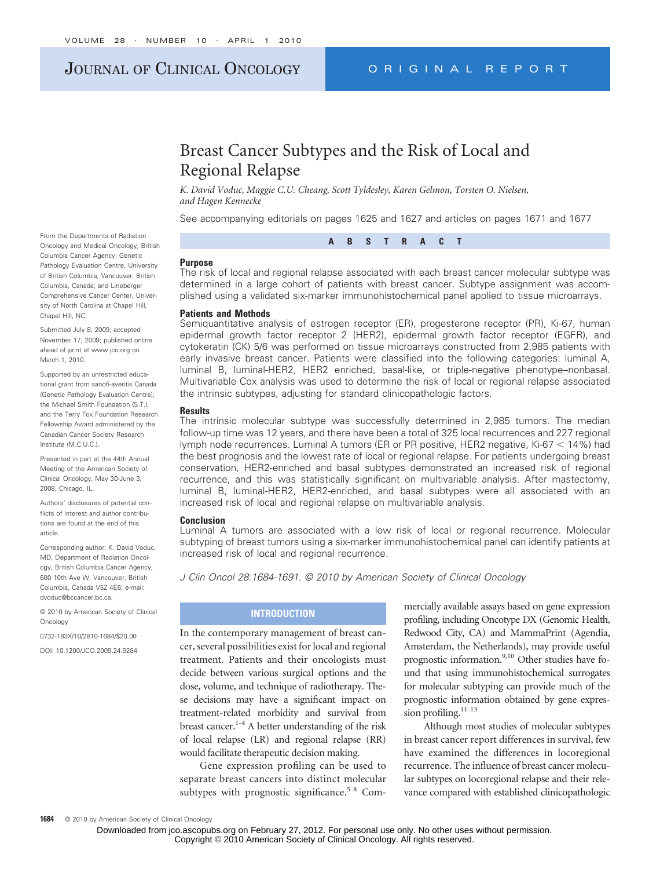# JOURNAL OF CLINICAL ONCOLOGY ORIGINAL REPORT

# Breast Cancer Subtypes and the Risk of Local and Regional Relapse

*K. David Voduc, Maggie C.U. Cheang, Scott Tyldesley, Karen Gelmon, Torsten O. Nielsen, and Hagen Kennecke*

See accompanying editorials on pages 1625 and 1627 and articles on pages 1671 and 1677



#### **Purpose**

The risk of local and regional relapse associated with each breast cancer molecular subtype was determined in a large cohort of patients with breast cancer. Subtype assignment was accomplished using a validated six-marker immunohistochemical panel applied to tissue microarrays.

#### **Patients and Methods**

Semiquantitative analysis of estrogen receptor (ER), progesterone receptor (PR), Ki-67, human epidermal growth factor receptor 2 (HER2), epidermal growth factor receptor (EGFR), and cytokeratin (CK) 5/6 was performed on tissue microarrays constructed from 2,985 patients with early invasive breast cancer. Patients were classified into the following categories: luminal A, luminal B, luminal-HER2, HER2 enriched, basal-like, or triple-negative phenotype–nonbasal. Multivariable Cox analysis was used to determine the risk of local or regional relapse associated the intrinsic subtypes, adjusting for standard clinicopathologic factors.

#### **Results**

The intrinsic molecular subtype was successfully determined in 2,985 tumors. The median follow-up time was 12 years, and there have been a total of 325 local recurrences and 227 regional lymph node recurrences. Luminal A tumors (ER or PR positive, HER2 negative, Ki-67 < 14%) had the best prognosis and the lowest rate of local or regional relapse. For patients undergoing breast conservation, HER2-enriched and basal subtypes demonstrated an increased risk of regional recurrence, and this was statistically significant on multivariable analysis. After mastectomy, luminal B, luminal-HER2, HER2-enriched, and basal subtypes were all associated with an increased risk of local and regional relapse on multivariable analysis.

#### **Conclusion**

Luminal A tumors are associated with a low risk of local or regional recurrence. Molecular subtyping of breast tumors using a six-marker immunohistochemical panel can identify patients at increased risk of local and regional recurrence.

*J Clin Oncol 28:1684-1691. © 2010 by American Society of Clinical Oncology*

## **INTRODUCTION**

In the contemporary management of breast cancer, several possibilities exist for local and regional treatment. Patients and their oncologists must decide between various surgical options and the dose, volume, and technique of radiotherapy. These decisions may have a significant impact on treatment-related morbidity and survival from breast cancer.<sup>1-4</sup> A better understanding of the risk of local relapse (LR) and regional relapse (RR) would facilitate therapeutic decision making.

Gene expression profiling can be used to separate breast cancers into distinct molecular subtypes with prognostic significance.<sup>5-8</sup> Com-

mercially available assays based on gene expression profiling, including Oncotype DX (Genomic Health, Redwood City, CA) and MammaPrint (Agendia, Amsterdam, the Netherlands), may provide useful prognostic information.<sup>9,10</sup> Other studies have found that using immunohistochemical surrogates for molecular subtyping can provide much of the prognostic information obtained by gene expression profiling.<sup>11-13</sup>

Although most studies of molecular subtypes in breast cancer report differences in survival, few have examined the differences in locoregional recurrence. The influence of breast cancer molecular subtypes on locoregional relapse and their relevance compared with established clinicopathologic

From the Departments of Radiation Oncology and Medical Oncology, British Columbia Cancer Agency; Genetic Pathology Evaluation Centre, University of British Columbia, Vancouver, British Columbia, Canada; and Lineberger Comprehensive Cancer Center, University of North Carolina at Chapel Hill, Chapel Hill, NC.

Submitted July 8, 2009; accepted November 17, 2009; published online ahead of print at www.jco.org on March 1, 2010.

Supported by an unrestricted educational grant from sanofi-aventis Canada (Genetic Pathology Evaluation Centre), the Michael Smith Foundation (S.T.), and the Terry Fox Foundation Research Fellowship Award administered by the Canadian Cancer Society Research Institute (M.C.U.C.).

Presented in part at the 44th Annual Meeting of the American Society of Clinical Oncology, May 30-June 3, 2008, Chicago, IL.

Authors' disclosures of potential conflicts of interest and author contributions are found at the end of this article.

Corresponding author: K. David Voduc, MD, Department of Radiation Oncology, British Columbia Cancer Agency, 600 10th Ave W, Vancouver, British Columbia, Canada V5Z 4E6; e-mail: dvoduc@bccancer.bc.ca.

© 2010 by American Society of Clinical Oncology

0732-183X/10/2810-1684/\$20.00

DOI: 10.1200/JCO.2009.24.9284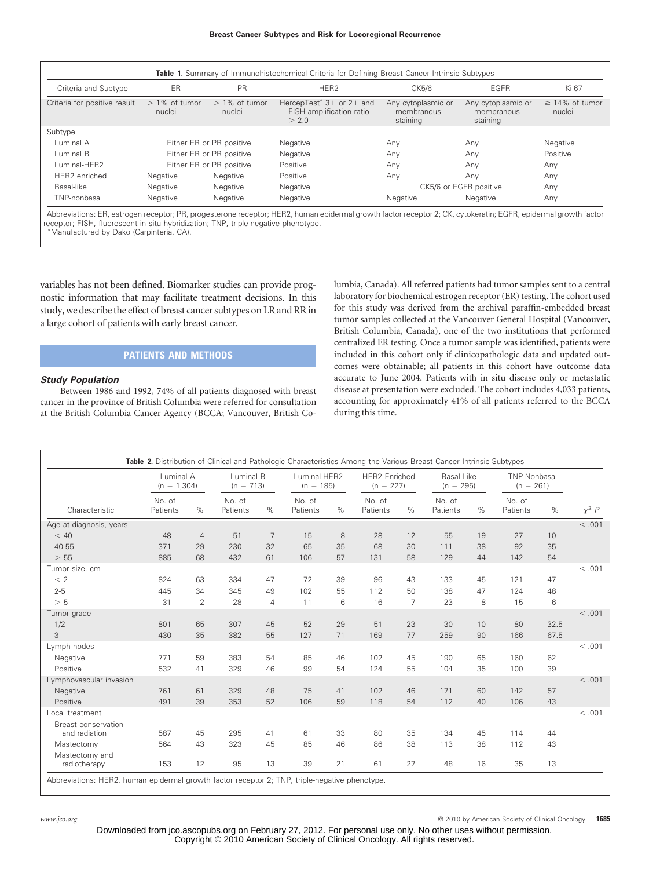| Criteria and Subtype         | ER                         | <b>PR</b>                  | HER <sub>2</sub>                                                              | CK5/6                                        | EGFR                                         | Ki-67                         |
|------------------------------|----------------------------|----------------------------|-------------------------------------------------------------------------------|----------------------------------------------|----------------------------------------------|-------------------------------|
| Criteria for positive result | $> 1\%$ of tumor<br>nuclei | $> 1\%$ of tumor<br>nuclei | HercepTest <sup>*</sup> $3+$ or $2+$ and<br>FISH amplification ratio<br>> 2.0 | Any cytoplasmic or<br>membranous<br>staining | Any cytoplasmic or<br>membranous<br>staining | $\geq$ 14% of tumor<br>nuclei |
| Subtype                      |                            |                            |                                                                               |                                              |                                              |                               |
| Luminal A                    | Either ER or PR positive   |                            | Negative                                                                      | Any                                          | Any                                          | Negative                      |
| Luminal B                    | Either ER or PR positive   |                            | Negative                                                                      | Any                                          | Any                                          | Positive                      |
| Luminal-HER2                 | Either ER or PR positive   |                            | Positive                                                                      | Anv                                          | Any                                          | Any                           |
| HER2 enriched                | Negative                   | Negative                   | Positive                                                                      | Any                                          | Any                                          | Any                           |
| Basal-like                   | Negative                   | Negative                   | Negative                                                                      |                                              | CK5/6 or EGFR positive                       | Any                           |
| TNP-nonbasal                 | Negative                   | Negative                   | Negative                                                                      | Negative                                     | Negative                                     | Any                           |

Abbreviations: ER, estrogen receptor; PR, progesterone receptor; HER2, human epidermal growth factor receptor 2; CK, cytokeratin; EGFR, epidermal growth factor receptor; FISH, fluorescent in situ hybridization; TNP, triple-negative phenotype. Manufactured by Dako (Carpinteria, CA).

variables has not been defined. Biomarker studies can provide prognostic information that may facilitate treatment decisions. In this study, we describe the effect of breast cancer subtypes on LR and RR in a large cohort of patients with early breast cancer.

## **PATIENTS AND METHODS**

#### *Study Population*

Between 1986 and 1992, 74% of all patients diagnosed with breast cancer in the province of British Columbia were referred for consultation at the British Columbia Cancer Agency (BCCA; Vancouver, British Columbia, Canada). All referred patients had tumor samples sent to a central laboratory for biochemical estrogen receptor (ER) testing. The cohort used for this study was derived from the archival paraffin-embedded breast tumor samples collected at the Vancouver General Hospital (Vancouver, British Columbia, Canada), one of the two institutions that performed centralized ER testing. Once a tumor sample was identified, patients were included in this cohort only if clinicopathologic data and updated outcomes were obtainable; all patients in this cohort have outcome data accurate to June 2004. Patients with in situ disease only or metastatic disease at presentation were excluded. The cohort includes 4,033 patients, accounting for approximately 41% of all patients referred to the BCCA during this time.

| Characteristic                       | Luminal A<br>$(n = 1,304)$ |                | Luminal B<br>$(n = 713)$ |                | Luminal-HER2<br>$(n = 185)$ | <b>HER2</b> Enriched<br>$(n = 227)$ | Basal-Like<br>$(n = 295)$ |                | TNP-Nonbasal<br>$(n = 261)$ |    |                    |      |            |
|--------------------------------------|----------------------------|----------------|--------------------------|----------------|-----------------------------|-------------------------------------|---------------------------|----------------|-----------------------------|----|--------------------|------|------------|
|                                      | No. of<br>Patients         | %              | No. of<br>Patients       | $\%$           | No. of<br>Patients          | %                                   | No. of<br>Patients        | %              | No. of<br>Patients          | %  | No. of<br>Patients | $\%$ | $\chi^2$ P |
| Age at diagnosis, years              |                            |                |                          |                |                             |                                     |                           |                |                             |    |                    |      | < 0.01     |
| < 40                                 | 48                         | $\overline{4}$ | 51                       | $\overline{7}$ | 15                          | 8                                   | 28                        | 12             | 55                          | 19 | 27                 | 10   |            |
| 40-55                                | 371                        | 29             | 230                      | 32             | 65                          | 35                                  | 68                        | 30             | 111                         | 38 | 92                 | 35   |            |
| > 55                                 | 885                        | 68             | 432                      | 61             | 106                         | 57                                  | 131                       | 58             | 129                         | 44 | 142                | 54   |            |
| Tumor size, cm                       |                            |                |                          |                |                             |                                     |                           |                |                             |    |                    |      | < 0.001    |
| < 2                                  | 824                        | 63             | 334                      | 47             | 72                          | 39                                  | 96                        | 43             | 133                         | 45 | 121                | 47   |            |
| $2 - 5$                              | 445                        | 34             | 345                      | 49             | 102                         | 55                                  | 112                       | 50             | 138                         | 47 | 124                | 48   |            |
| > 5                                  | 31                         | $\overline{2}$ | 28                       | 4              | 11                          | 6                                   | 16                        | $\overline{7}$ | 23                          | 8  | 15                 | 6    |            |
| Tumor grade                          |                            |                |                          |                |                             |                                     |                           |                |                             |    |                    |      | < .001     |
| 1/2                                  | 801                        | 65             | 307                      | 45             | 52                          | 29                                  | 51                        | 23             | 30                          | 10 | 80                 | 32.5 |            |
| 3                                    | 430                        | 35             | 382                      | 55             | 127                         | 71                                  | 169                       | 77             | 259                         | 90 | 166                | 67.5 |            |
| Lymph nodes                          |                            |                |                          |                |                             |                                     |                           |                |                             |    |                    |      | < 0.01     |
| Negative                             | 771                        | 59             | 383                      | 54             | 85                          | 46                                  | 102                       | 45             | 190                         | 65 | 160                | 62   |            |
| Positive                             | 532                        | 41             | 329                      | 46             | 99                          | 54                                  | 124                       | 55             | 104                         | 35 | 100                | 39   |            |
| Lymphovascular invasion              |                            |                |                          |                |                             |                                     |                           |                |                             |    |                    |      | < 0.01     |
| Negative                             | 761                        | 61             | 329                      | 48             | 75                          | 41                                  | 102                       | 46             | 171                         | 60 | 142                | 57   |            |
| Positive                             | 491                        | 39             | 353                      | 52             | 106                         | 59                                  | 118                       | 54             | 112                         | 40 | 106                | 43   |            |
| Local treatment                      |                            |                |                          |                |                             |                                     |                           |                |                             |    |                    |      | < .001     |
| Breast conservation<br>and radiation | 587                        | 45             | 295                      | 41             | 61                          | 33                                  | 80                        | 35             | 134                         | 45 | 114                | 44   |            |
| Mastectomy                           | 564                        | 43             | 323                      | 45             | 85                          | 46                                  | 86                        | 38             | 113                         | 38 | 112                | 43   |            |
| Mastectomy and<br>radiotherapy       | 153                        | 12             | 95                       | 13             | 39                          | 21                                  | 61                        | 27             | 48                          | 16 | 35                 | 13   |            |

*www.jco.org* © 2010 by American Society of Clinical Oncology **1685**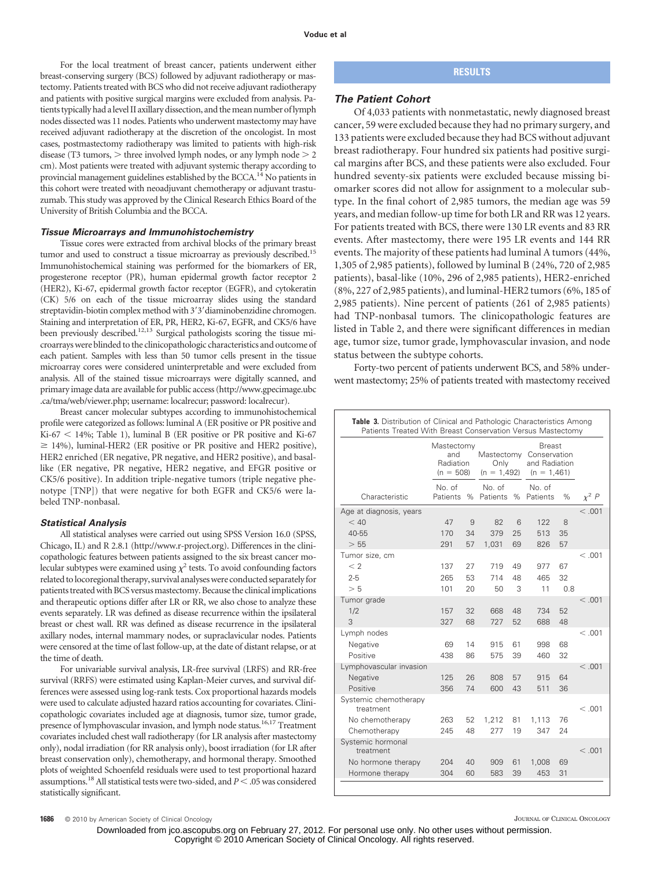For the local treatment of breast cancer, patients underwent either breast-conserving surgery (BCS) followed by adjuvant radiotherapy or mastectomy. Patients treated with BCS who did not receive adjuvant radiotherapy and patients with positive surgical margins were excluded from analysis. Patients typically had a level II axillary dissection, and themean number of lymph nodes dissected was 11 nodes. Patients who underwent mastectomy may have received adjuvant radiotherapy at the discretion of the oncologist. In most cases, postmastectomy radiotherapy was limited to patients with high-risk disease (T3 tumors,  $>$  three involved lymph nodes, or any lymph node  $>$  2 cm). Most patients were treated with adjuvant systemic therapy according to provincial management guidelines established by the BCCA.<sup>14</sup> No patients in this cohort were treated with neoadjuvant chemotherapy or adjuvant trastuzumab. This study was approved by the Clinical Research Ethics Board of the University of British Columbia and the BCCA.

#### *Tissue Microarrays and Immunohistochemistry*

Tissue cores were extracted from archival blocks of the primary breast tumor and used to construct a tissue microarray as previously described.<sup>15</sup> Immunohistochemical staining was performed for the biomarkers of ER, progesterone receptor (PR), human epidermal growth factor receptor 2 (HER2), Ki-67, epidermal growth factor receptor (EGFR), and cytokeratin (CK) 5/6 on each of the tissue microarray slides using the standard streptavidin-biotin complex method with 3'3' diaminobenzidine chromogen. Staining and interpretation of ER, PR, HER2, Ki-67, EGFR, and CK5/6 have been previously described.12,13 Surgical pathologists scoring the tissue microarrays were blinded to the clinicopathologic characteristics and outcome of each patient. Samples with less than 50 tumor cells present in the tissue microarray cores were considered uninterpretable and were excluded from analysis. All of the stained tissue microarrays were digitally scanned, and primary image data are available for public access (http://www.gpecimage.ubc .ca/tma/web/viewer.php; username: localrecur; password: localrecur).

Breast cancer molecular subtypes according to immunohistochemical profile were categorized as follows: luminal A (ER positive or PR positive and  $Ki-67 < 14%$ ; Table 1), luminal B (ER positive or PR positive and Ki-67  $\geq$  14%), luminal-HER2 (ER positive or PR positive and HER2 positive), HER2 enriched (ER negative, PR negative, and HER2 positive), and basallike (ER negative, PR negative, HER2 negative, and EFGR positive or CK5/6 positive). In addition triple-negative tumors (triple negative phenotype [TNP]) that were negative for both EGFR and CK5/6 were labeled TNP-nonbasal.

#### *Statistical Analysis*

All statistical analyses were carried out using SPSS Version 16.0 (SPSS, Chicago, IL) and R 2.8.1 (http://www.r-project.org). Differences in the clinicopathologic features between patients assigned to the six breast cancer molecular subtypes were examined using  $\chi^2$  tests. To avoid confounding factors related tolocoregional therapy, survival analyseswere conducted separatelyfor patients treated with BCS versus mastectomy. Because the clinical implications and therapeutic options differ after LR or RR, we also chose to analyze these events separately. LR was defined as disease recurrence within the ipsilateral breast or chest wall. RR was defined as disease recurrence in the ipsilateral axillary nodes, internal mammary nodes, or supraclavicular nodes. Patients were censored at the time of last follow-up, at the date of distant relapse, or at the time of death.

For univariable survival analysis, LR-free survival (LRFS) and RR-free survival (RRFS) were estimated using Kaplan-Meier curves, and survival differences were assessed using log-rank tests. Cox proportional hazards models were used to calculate adjusted hazard ratios accounting for covariates. Clinicopathologic covariates included age at diagnosis, tumor size, tumor grade, presence of lymphovascular invasion, and lymph node status.16,17 Treatment covariates included chest wall radiotherapy (for LR analysis after mastectomy only), nodal irradiation (for RR analysis only), boost irradiation (for LR after breast conservation only), chemotherapy, and hormonal therapy. Smoothed plots of weighted Schoenfeld residuals were used to test proportional hazard assumptions.<sup>18</sup> All statistical tests were two-sided, and *P* < .05 was considered statistically significant.

## **RESULTS**

#### *The Patient Cohort*

Of 4,033 patients with nonmetastatic, newly diagnosed breast cancer, 59 were excluded because they had no primary surgery, and 133 patients were excluded because they had BCS without adjuvant breast radiotherapy. Four hundred six patients had positive surgical margins after BCS, and these patients were also excluded. Four hundred seventy-six patients were excluded because missing biomarker scores did not allow for assignment to a molecular subtype. In the final cohort of 2,985 tumors, the median age was 59 years, and median follow-up time for both LR and RR was 12 years. For patients treated with BCS, there were 130 LR events and 83 RR events. After mastectomy, there were 195 LR events and 144 RR events. The majority of these patients had luminal A tumors (44%, 1,305 of 2,985 patients), followed by luminal B (24%, 720 of 2,985 patients), basal-like (10%, 296 of 2,985 patients), HER2-enriched (8%, 227 of 2,985 patients), and luminal-HER2 tumors (6%, 185 of 2,985 patients). Nine percent of patients (261 of 2,985 patients) had TNP-nonbasal tumors. The clinicopathologic features are listed in Table 2, and there were significant differences in median age, tumor size, tumor grade, lymphovascular invasion, and node status between the subtype cohorts.

Forty-two percent of patients underwent BCS, and 58% underwent mastectomy; 25% of patients treated with mastectomy received

|                                                                         | Mastectomy<br>and<br>Radiation<br>$(n = 508)$ |                | Mastectomy<br>Only<br>$(n = 1.492)$ |               | <b>Breast</b><br>Conservation<br>and Radiation<br>$(n = 1,461)$ |                 |            |  |
|-------------------------------------------------------------------------|-----------------------------------------------|----------------|-------------------------------------|---------------|-----------------------------------------------------------------|-----------------|------------|--|
| Characteristic                                                          | No of<br>Patients                             | $\%$           | No of<br>Patients                   | $\%$          | $No$ of<br>Patients                                             | %               | $\chi^2$ P |  |
| Age at diagnosis, years<br>< 40<br>$40 - 55$<br>> 55                    | 47<br>170<br>291                              | 9<br>34<br>57  | 82<br>379<br>1,031                  | 6<br>25<br>69 | 122<br>513<br>826                                               | 8<br>35<br>57   | < 0.001    |  |
| Tumor size, cm<br>$\lt 2$<br>$2 - 5$<br>> 5                             | 137<br>265<br>101                             | 27<br>53<br>20 | 719<br>714<br>50                    | 49<br>48<br>3 | 977<br>465<br>11                                                | 67<br>32<br>0.8 | <.001      |  |
| Tumor grade<br>1/2<br>3                                                 | 157<br>327                                    | 32<br>68       | 668<br>727                          | 48<br>52      | 734<br>688                                                      | 52<br>48        | $<$ .001   |  |
| Lymph nodes<br>Negative<br>Positive                                     | 69<br>438                                     | 14<br>86       | 915<br>575                          | 61<br>39      | 998<br>460                                                      | 68<br>32        | <.001      |  |
| Lymphovascular invasion<br>Negative<br>Positive                         | 125<br>356                                    | 26<br>74       | 808<br>600                          | 57<br>43      | 915<br>511                                                      | 64<br>36        | < 0.001    |  |
| Systemic chemotherapy<br>treatment<br>No chemotherapy<br>Chemotherapy   | 263<br>245                                    | 52<br>48       | 1,212<br>277                        | 81<br>19      | 1,113<br>347                                                    | 76<br>24        | <.001      |  |
| Systemic hormonal<br>treatment<br>No hormone therapy<br>Hormone therapy | 204<br>304                                    | 40<br>60       | 909<br>583                          | 61<br>39      | 1,008<br>453                                                    | 69<br>31        | <.001      |  |

**1686** © 2010 by American Society of Clinical Oncology **Clinical Oncology** JOURNAL OF CLINICAL ONCOLOGY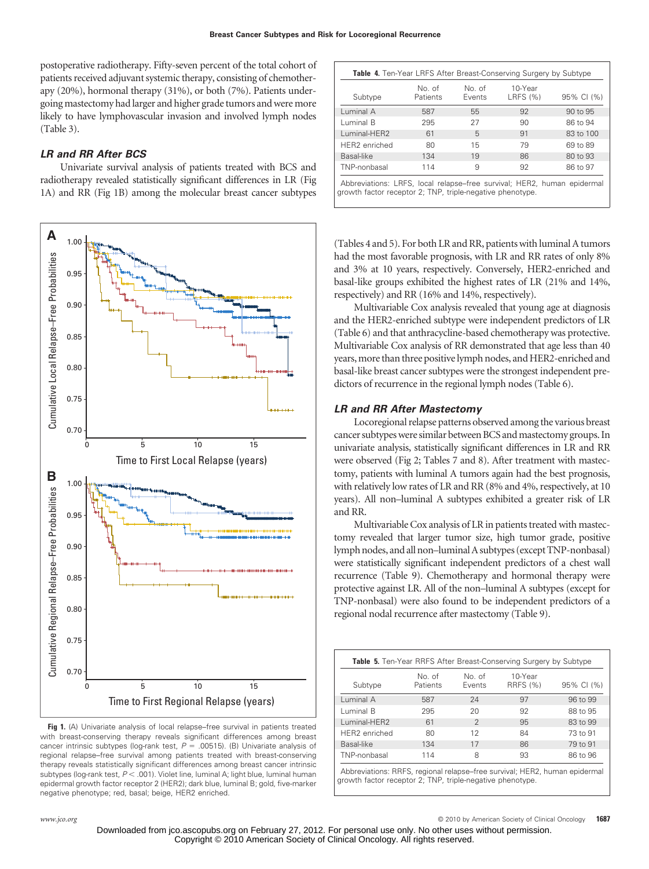postoperative radiotherapy. Fifty-seven percent of the total cohort of patients received adjuvant systemic therapy, consisting of chemotherapy (20%), hormonal therapy (31%), or both (7%). Patients undergoing mastectomy had larger and higher grade tumors and were more likely to have lymphovascular invasion and involved lymph nodes (Table 3).

## *LR and RR After BCS*

Univariate survival analysis of patients treated with BCS and radiotherapy revealed statistically significant differences in LR (Fig 1A) and RR (Fig 1B) among the molecular breast cancer subtypes



**Fig 1.** (A) Univariate analysis of local relapse–free survival in patients treated with breast-conserving therapy reveals significant differences among breast cancer intrinsic subtypes (log-rank test,  $P = .00515$ ). (B) Univariate analysis of regional relapse–free survival among patients treated with breast-conserving therapy reveals statistically significant differences among breast cancer intrinsic subtypes (log-rank test,  $P < .001$ ). Violet line, luminal A; light blue, luminal human epidermal growth factor receptor 2 (HER2); dark blue, luminal B; gold, five-marker negative phenotype; red, basal; beige, HER2 enriched.

| Subtype       | No. of<br>Patients | No. of<br>Events | 10-Year<br>LRFS (%) | 95% CI (%) |
|---------------|--------------------|------------------|---------------------|------------|
| Luminal A     | 587                | 55               | 92                  | 90 to 95   |
| Luminal B     | 295                | 27               | 90                  | 86 to 94   |
| Luminal-HER2  | 61                 | 5                | 91                  | 83 to 100  |
| HER2 enriched | 80                 | 15               | 79                  | 69 to 89   |
| Basal-like    | 134                | 19               | 86                  | 80 to 93   |
| TNP-nonbasal  | 114                | 9                | 92                  | 86 to 97   |

Abbreviations: LRFS, local relapse–free survival; HER2, human epidermal growth factor receptor 2; TNP, triple-negative phenotype.

(Tables 4 and 5). For both LR and RR, patients with luminal A tumors had the most favorable prognosis, with LR and RR rates of only 8% and 3% at 10 years, respectively. Conversely, HER2-enriched and basal-like groups exhibited the highest rates of LR (21% and 14%, respectively) and RR (16% and 14%, respectively).

Multivariable Cox analysis revealed that young age at diagnosis and the HER2-enriched subtype were independent predictors of LR (Table 6) and that anthracycline-based chemotherapy was protective. Multivariable Cox analysis of RR demonstrated that age less than 40 years, more than three positive lymph nodes, and HER2-enriched and basal-like breast cancer subtypes were the strongest independent predictors of recurrence in the regional lymph nodes (Table 6).

### *LR and RR After Mastectomy*

Locoregional relapse patterns observed among the various breast cancer subtypes were similar between BCS and mastectomy groups. In univariate analysis, statistically significant differences in LR and RR were observed (Fig 2; Tables 7 and 8). After treatment with mastectomy, patients with luminal A tumors again had the best prognosis, with relatively low rates of LR and RR (8% and 4%, respectively, at 10 years). All non–luminal A subtypes exhibited a greater risk of LR and RR.

Multivariable Cox analysis of LR in patients treated with mastectomy revealed that larger tumor size, high tumor grade, positive lymph nodes, and all non-luminal A subtypes (except TNP-nonbasal) were statistically significant independent predictors of a chest wall recurrence (Table 9). Chemotherapy and hormonal therapy were protective against LR. All of the non–luminal A subtypes (except for TNP-nonbasal) were also found to be independent predictors of a regional nodal recurrence after mastectomy (Table 9).

|               |                    |                 | <b>Table 5.</b> Ten-Year RRFS After Breast-Conserving Surgery by Subtype |            |
|---------------|--------------------|-----------------|--------------------------------------------------------------------------|------------|
| Subtype       | No. of<br>Patients | No of<br>Events | 10-Year<br><b>RRFS (%)</b>                                               | 95% CI (%) |
| Luminal A     | 587                | 24              | 97                                                                       | 96 to 99   |
| Luminal B     | 295                | 20              | 92                                                                       | 88 to 95   |
| Luminal-HER2  | 61                 | $\mathcal{P}$   | 95                                                                       | 83 to 99   |
| HER2 enriched | 80                 | 12              | 84                                                                       | 73 to 91   |
| Basal-like    | 134                | 17              | 86                                                                       | 79 to 91   |
| TNP-nonbasal  | 114                | 8               | 93                                                                       | 86 to 96   |

Abbreviations: RRFS, regional relapse–free survival; HER2, human epidermal growth factor receptor 2; TNP, triple-negative phenotype.

*www.jco.org* © 2010 by American Society of Clinical Oncology **1687**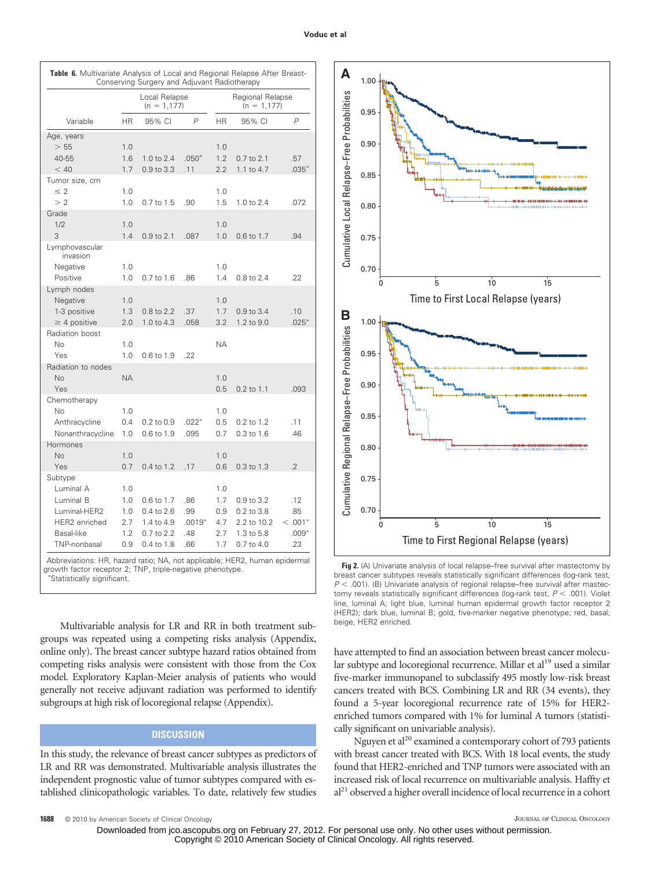|                            |           | Local Relapse<br>$(n = 1, 177)$ |                |           | Regional Relapse<br>$(n = 1, 177)$ |                |
|----------------------------|-----------|---------------------------------|----------------|-----------|------------------------------------|----------------|
| Variable                   | <b>HR</b> | 95% CI                          | $\overline{P}$ | <b>HR</b> | 95% CI                             | P              |
| Age, years                 |           |                                 |                |           |                                    |                |
| > 55                       | 1.0       |                                 |                | 1.0       |                                    |                |
| 40-55                      | 1.6       | 1.0 to 2.4                      | $.050*$        | 1.2       | 0.7 to 2.1                         | .57            |
| < 40                       | 1.7       | 0.9 to 3.3                      | .11            | 2.2       | 1.1 to 4.7                         | $.035*$        |
| Tumor size, cm             |           |                                 |                |           |                                    |                |
| $\leq 2$                   | 1.0       |                                 |                | 1.0       |                                    |                |
| > 2                        | 1.0       | 0.7 to 1.5                      | .90            | 1.5       | 1.0 to 2.4                         | .072           |
| Grade                      |           |                                 |                |           |                                    |                |
| 1/2                        | 1.0       |                                 |                | 1.0       |                                    |                |
| 3                          | 1.4       | 0.9 to 2.1                      | .087           | 1.0       | 0.6 to 1.7                         | .94            |
| Lymphovascular<br>invasion |           |                                 |                |           |                                    |                |
| Negative                   | 1.0       |                                 |                | 1.0       |                                    |                |
| Positive                   | 1.0       | 0.7 to 1.6                      | .86            | 1.4       | 0.8 to 2.4                         | .22            |
| Lymph nodes                |           |                                 |                |           |                                    |                |
| Negative                   | 1.0       |                                 |                | 1.0       |                                    |                |
| 1-3 positive               | 1.3       | 0.8 to 2.2                      | .37            | 1.7       | 0.9 to 3.4                         | .10            |
| $\geq$ 4 positive          | 2.0       | 1.0 to 4.3                      | .058           | 3.2       | 1.2 to 9.0                         | $.025*$        |
| Radiation boost            |           |                                 |                |           |                                    |                |
| N <sub>o</sub>             | 1.0       |                                 |                | ΝA        |                                    |                |
| Yes                        | 1.0       | 0.6 to 1.9                      | .22            |           |                                    |                |
| Radiation to nodes         |           |                                 |                |           |                                    |                |
| <b>No</b>                  | <b>NA</b> |                                 |                | 1.0       |                                    |                |
| Yes                        |           |                                 |                | 0.5       | 0.2 to 1.1                         | .093           |
| Chemotherapy               |           |                                 |                |           |                                    |                |
| No                         | 1.0       |                                 |                | 1.0       |                                    |                |
|                            |           |                                 |                |           |                                    |                |
| Anthracycline              | 0.4       | $0.2$ to $0.9$                  | $.022*$        | 0.5       | 0.2 to 1.2                         | .11            |
| Nonanthracycline           | 1.0       | 0.6 to 1.9                      | .095           | 0.7       | $0.3$ to $1.6$                     | .46            |
| Hormones                   |           |                                 |                |           |                                    |                |
| <b>No</b>                  | 1.0       |                                 |                | 1.0       |                                    |                |
| Yes                        | 0.7       | 0.4 to 1.2                      | .17            | 0.6       | $0.3$ to $1.3$                     | $\overline{2}$ |
| Subtype                    |           |                                 |                |           |                                    |                |
| Luminal A                  | 1.0       |                                 |                | 1.0       |                                    |                |
| Luminal B                  | 1.0       | 0.6 to 1.7                      | .86            | 1.7       | 0.9 to 3.2                         | .12            |
| Luminal-HER2               | 1.0       | 0.4 to 2.6                      | .99            | 0.9       | 0.2 to 3.8                         | .85            |
| <b>HER2</b> enriched       | 2.7       | 1.4 to 4.9                      | $.0019*$       | 4.7       | 2.2 to 10.2                        | $< 0.01*$      |
| Basal-like                 | 1.2       | 0.7 to 2.2                      | .48            | 2.7       | 1.3 to 5.8                         | $.009*$        |
| TNP-nonbasal               | 0.9       | 0.4 to 1.8                      | .66            | 1.7       | $0.7$ to $4.0$                     | .23            |

Statistically significant.

Multivariable analysis for LR and RR in both treatment subgroups was repeated using a competing risks analysis (Appendix, online only). The breast cancer subtype hazard ratios obtained from competing risks analysis were consistent with those from the Cox model. Exploratory Kaplan-Meier analysis of patients who would generally not receive adjuvant radiation was performed to identify subgroups at high risk of locoregional relapse (Appendix).

## **DISCUSSION**

In this study, the relevance of breast cancer subtypes as predictors of LR and RR was demonstrated. Multivariable analysis illustrates the independent prognostic value of tumor subtypes compared with established clinicopathologic variables. To date, relatively few studies



**Fig 2.** (A) Univariate analysis of local relapse–free survival after mastectomy by breast cancer subtypes reveals statistically significant differences (log-rank test,  $P <$  .001). (B) Univariate analysis of regional relapse–free survival after mastectomy reveals statistically significant differences (log-rank test,  $P < .001$ ). Violet line, luminal A; light blue, luminal human epidermal growth factor receptor 2 (HER2); dark blue, luminal B; gold, five-marker negative phenotype; red, basal; beige, HER2 enriched.

have attempted to find an association between breast cancer molecular subtype and locoregional recurrence. Millar et  $al<sup>19</sup>$  used a similar five-marker immunopanel to subclassify 495 mostly low-risk breast cancers treated with BCS. Combining LR and RR (34 events), they found a 5-year locoregional recurrence rate of 15% for HER2 enriched tumors compared with 1% for luminal A tumors (statistically significant on univariable analysis).

Nguyen et al<sup>20</sup> examined a contemporary cohort of 793 patients with breast cancer treated with BCS. With 18 local events, the study found that HER2-enriched and TNP tumors were associated with an increased risk of local recurrence on multivariable analysis. Haffty et al21 observed a higher overall incidence of local recurrence in a cohort

**1688** © 2010 by American Society of Clinical Oncology **JOURNAL OF CLINICAL ONCOLOGY** JOURNAL OF CLINICAL ONCOLOGY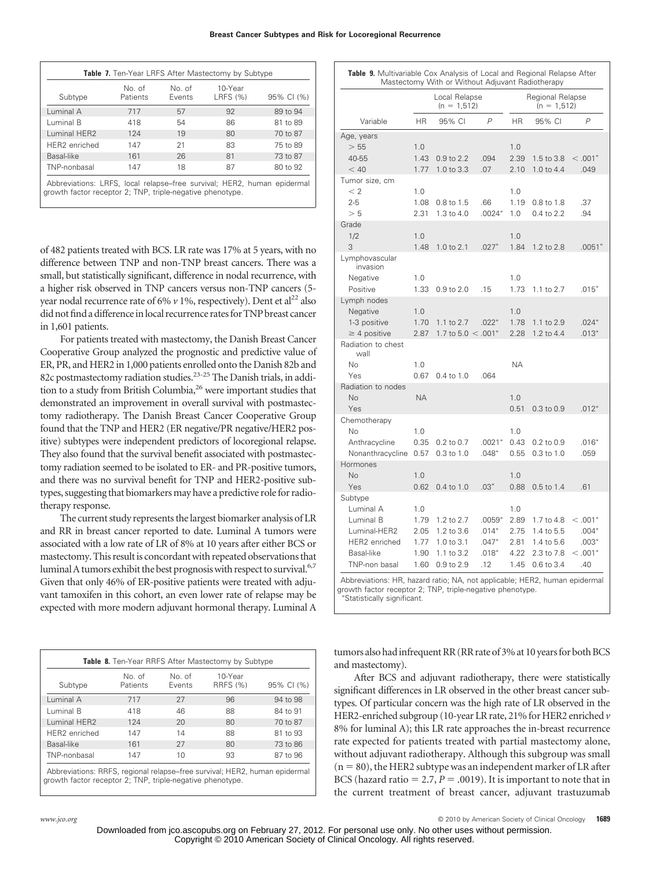**Breast Cancer Subtypes and Risk for Locoregional Recurrence**

|               |                           |                  | <b>Table 7.</b> Ten-Year LRFS After Mastectomy by Subtype |            |
|---------------|---------------------------|------------------|-----------------------------------------------------------|------------|
| Subtype       | No. of<br><b>Patients</b> | No. of<br>Events | 10-Year<br><b>LRFS (%)</b>                                | 95% CI (%) |
| Luminal A     | 717                       | 57               | 92                                                        | 89 to 94   |
| Luminal B     | 418                       | 54               | 86                                                        | 81 to 89   |
| Luminal HER2  | 124                       | 19               | 80                                                        | 70 to 87   |
| HER2 enriched | 147                       | 21               | 83                                                        | 75 to 89   |
| Basal-like    | 161                       | 26               | 81                                                        | 73 to 87   |
| TNP-nonbasal  | 147                       | 18               | 87                                                        | 80 to 92   |

Abbreviations: LRFS, local relapse–free survival; HER2, human epidermal growth factor receptor 2; TNP, triple-negative phenotype.

of 482 patients treated with BCS. LR rate was 17% at 5 years, with no difference between TNP and non-TNP breast cancers. There was a small, but statistically significant, difference in nodal recurrence, with a higher risk observed in TNP cancers versus non-TNP cancers (5 year nodal recurrence rate of 6%  $\nu$  1%, respectively). Dent et al<sup>22</sup> also did not find a difference in local recurrence rates for TNP breast cancer in 1,601 patients.

For patients treated with mastectomy, the Danish Breast Cancer Cooperative Group analyzed the prognostic and predictive value of ER, PR, and HER2 in 1,000 patients enrolled onto the Danish 82b and 82c postmastectomy radiation studies.<sup>23-25</sup> The Danish trials, in addition to a study from British Columbia,<sup>26</sup> were important studies that demonstrated an improvement in overall survival with postmastectomy radiotherapy. The Danish Breast Cancer Cooperative Group found that the TNP and HER2 (ER negative/PR negative/HER2 positive) subtypes were independent predictors of locoregional relapse. They also found that the survival benefit associated with postmastectomy radiation seemed to be isolated to ER- and PR-positive tumors, and there was no survival benefit for TNP and HER2-positive subtypes, suggesting that biomarkers may have a predictive role for radiotherapy response.

The current study represents the largest biomarker analysis of LR and RR in breast cancer reported to date. Luminal A tumors were associated with a low rate of LR of 8% at 10 years after either BCS or mastectomy. This result is concordant with repeated observations that luminal A tumors exhibit the best prognosis with respect to survival.<sup>6,7</sup> Given that only 46% of ER-positive patients were treated with adjuvant tamoxifen in this cohort, an even lower rate of relapse may be expected with more modern adjuvant hormonal therapy. Luminal A

|               |                    |                  | Table 8. Ten-Year RRFS After Mastectomy by Subtype |            |
|---------------|--------------------|------------------|----------------------------------------------------|------------|
| Subtype       | No. of<br>Patients | No. of<br>Events | 10-Year<br><b>RRFS (%)</b>                         | 95% CI (%) |
| Luminal A     | 717                | 27               | 96                                                 | 94 to 98   |
| Luminal B     | 418                | 46               | 88                                                 | 84 to 91   |
| Luminal HER2  | 124                | 20               | 80                                                 | 70 to 87   |
| HER2 enriched | 147                | 14               | 88                                                 | 81 to 93   |
| Basal-like    | 161                | 27               | 80                                                 | 73 to 86   |
| TNP-nonbasal  | 147                | 10               | 93                                                 | 87 to 96   |

Abbreviations: RRFS, regional relapse–free survival; HER2, human epidermal growth factor receptor 2; TNP, triple-negative phenotype.

|                            |           | Local Relapse<br>$(n = 1,512)$   |                |           | Regional Relapse<br>$(n = 1,512)$ |                |
|----------------------------|-----------|----------------------------------|----------------|-----------|-----------------------------------|----------------|
| Variable                   | <b>HR</b> | 95% CI                           | $\overline{P}$ | <b>HR</b> | 95% CI                            | $\overline{P}$ |
| Age, years                 |           |                                  |                |           |                                   |                |
| > 55                       | 1.0       |                                  |                | 1.0       |                                   |                |
| $40 - 55$                  | 1.43      | 0.9 to 2.2                       | .094           | 2.39      | 1.5 to 3.8                        | $< 0.001*$     |
| < 40                       | 1.77      | 1.0 to 3.3                       | .07            | 2.10      | 1.0 to 4.4                        | .049           |
| Tumor size, cm<br>< 2      |           |                                  |                |           |                                   |                |
|                            | 1.0       |                                  |                | 1.0       |                                   |                |
| $2 - 5$                    | 1.08      | 0.8 to 1.5                       | .66            | 1.19      | 0.8 to 1.8                        | .37            |
| > 5                        | 2.31      | 1.3 to 4.0                       | $.0024*$       | 1.0       | 0.4 to 2.2                        | .94            |
| Grade                      |           |                                  |                |           |                                   |                |
| 1/2                        | 1.0       |                                  |                | 1.0       |                                   |                |
| 3                          | 1.48      | 1.0 to 2.1                       | $.027*$        | 1.84      | 1.2 to 2.8                        | $.0051*$       |
| Lymphovascular<br>invasion |           |                                  |                |           |                                   |                |
| Negative                   | 1.0       |                                  |                | 1.0       |                                   |                |
| Positive                   | 1.33      | $0.9$ to $2.0$                   | .15            | 1.73      | 1.1 to 2.7                        | $.015*$        |
| Lymph nodes                |           |                                  |                |           |                                   |                |
| Negative                   | 1.0       |                                  |                | 1.0       |                                   |                |
| 1-3 positive               | 1.70      | 1.1 to 2.7                       | $.022*$        | 1.78      | 1.1 to 2.9                        | $.024*$        |
| $\geq$ 4 positive          | 2.87      | 1.7 to $5.0 < .001$ <sup>*</sup> |                | 2.28      | 1.2 to 4.4                        | $.013*$        |
| Radiation to chest<br>wall |           |                                  |                |           |                                   |                |
| No                         | 1.0       |                                  |                | ΝA        |                                   |                |
| Yes                        | 0.67      | 0.4 to 1.0                       | .064           |           |                                   |                |
| Radiation to nodes         |           |                                  |                |           |                                   |                |
| <b>No</b>                  | <b>NA</b> |                                  |                | 1.0       |                                   |                |
| Yes                        |           |                                  |                | 0.51      | $0.3$ to $0.9$                    | $.012*$        |
| Chemotherapy               |           |                                  |                |           |                                   |                |
| <b>No</b>                  | 1.0       |                                  |                | 1.0       |                                   |                |
| Anthracycline              | 0.35      | 0.2 to 0.7                       | $.0021*$       | 0.43      | $0.2$ to $0.9$                    | $.016*$        |
| Nonanthracycline           | 0.57      | 0.3 to 1.0                       | $.048*$        | 0.55      | 0.3 to 1.0                        | .059           |
| Hormones                   |           |                                  |                |           |                                   |                |
| No                         | 1.0       |                                  |                | 1.0       |                                   |                |
| Yes                        | 0.62      | 0.4 to 1.0                       | $.03*$         | 0.88      | 0.5 to 1.4                        | .61            |
| Subtype                    |           |                                  |                |           |                                   |                |
| Luminal A                  | 1.0       |                                  |                | 1.0       |                                   |                |
| Luminal B                  | 1.79      | 1.2 to 2.7                       | $.0059*$       | 2.89      | 1.7 to 4.8                        | $< 0.001*$     |
| Luminal-HER2               | 2.05      | 1.2 to 3.6                       | $.014*$        | 2.75      | 1.4 to 5.5                        | $.004*$        |
| HER2 enriched              | 1.77      | 1.0 to 3.1                       | $.047*$        | 2.81      | 1.4 to 5.6                        | $.003*$        |
| Basal-like                 | 1.90      | 1.1 to 3.2                       | $.018*$        | 4.22      | 2.3 to 7.8                        | $< 0.001*$     |
| TNP-non basal              | 1.60      | 0.9 to 2.9                       | .12            | 1.45      | 0.6 to 3.4                        | .40            |

owth factor receptor 2; TNP, triple-negative phenotype Statistically significant.

tumors also had infrequent RR (RR rate of 3% at 10 years for both BCS and mastectomy).

After BCS and adjuvant radiotherapy, there were statistically significant differences in LR observed in the other breast cancer subtypes. Of particular concern was the high rate of LR observed in the HER2-enriched subgroup (10-year LR rate, 21% for HER2 enriched *v* 8% for luminal A); this LR rate approaches the in-breast recurrence rate expected for patients treated with partial mastectomy alone, without adjuvant radiotherapy. Although this subgroup was small  $(n = 80)$ , the HER2 subtype was an independent marker of LR after BCS (hazard ratio  $= 2.7, P = .0019$ ). It is important to note that in the current treatment of breast cancer, adjuvant trastuzumab

*www.jco.org* © 2010 by American Society of Clinical Oncology **1689**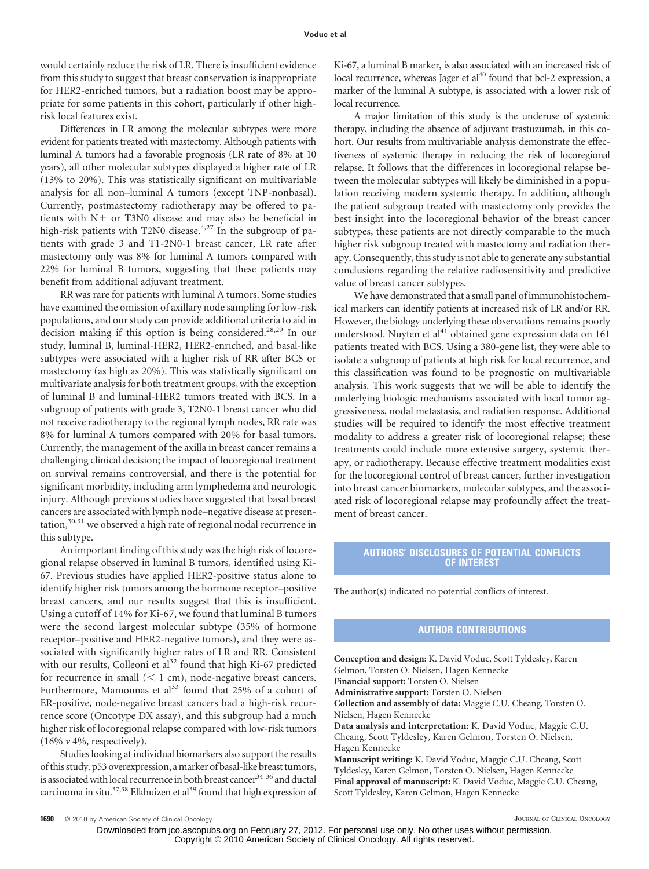would certainly reduce the risk of LR. There is insufficient evidence from this study to suggest that breast conservation is inappropriate for HER2-enriched tumors, but a radiation boost may be appropriate for some patients in this cohort, particularly if other highrisk local features exist.

Differences in LR among the molecular subtypes were more evident for patients treated with mastectomy. Although patients with luminal A tumors had a favorable prognosis (LR rate of 8% at 10 years), all other molecular subtypes displayed a higher rate of LR (13% to 20%). This was statistically significant on multivariable analysis for all non–luminal A tumors (except TNP-nonbasal). Currently, postmastectomy radiotherapy may be offered to patients with  $N+$  or T3N0 disease and may also be beneficial in high-risk patients with T2N0 disease.<sup>4,27</sup> In the subgroup of patients with grade 3 and T1-2N0-1 breast cancer, LR rate after mastectomy only was 8% for luminal A tumors compared with 22% for luminal B tumors, suggesting that these patients may benefit from additional adjuvant treatment.

RR was rare for patients with luminal A tumors. Some studies have examined the omission of axillary node sampling for low-risk populations, and our study can provide additional criteria to aid in decision making if this option is being considered.<sup>28,29</sup> In our study, luminal B, luminal-HER2, HER2-enriched, and basal-like subtypes were associated with a higher risk of RR after BCS or mastectomy (as high as 20%). This was statistically significant on multivariate analysis for both treatment groups, with the exception of luminal B and luminal-HER2 tumors treated with BCS. In a subgroup of patients with grade 3, T2N0-1 breast cancer who did not receive radiotherapy to the regional lymph nodes, RR rate was 8% for luminal A tumors compared with 20% for basal tumors. Currently, the management of the axilla in breast cancer remains a challenging clinical decision; the impact of locoregional treatment on survival remains controversial, and there is the potential for significant morbidity, including arm lymphedema and neurologic injury. Although previous studies have suggested that basal breast cancers are associated with lymph node–negative disease at presentation,<sup>30,31</sup> we observed a high rate of regional nodal recurrence in this subtype.

An important finding of this study was the high risk of locoregional relapse observed in luminal B tumors, identified using Ki-67. Previous studies have applied HER2-positive status alone to identify higher risk tumors among the hormone receptor–positive breast cancers, and our results suggest that this is insufficient. Using a cutoff of 14% for Ki-67, we found that luminal B tumors were the second largest molecular subtype (35% of hormone receptor–positive and HER2-negative tumors), and they were associated with significantly higher rates of LR and RR. Consistent with our results, Colleoni et al<sup>32</sup> found that high Ki-67 predicted for recurrence in small  $(< 1 \text{ cm})$ , node-negative breast cancers. Furthermore, Mamounas et al<sup>33</sup> found that 25% of a cohort of ER-positive, node-negative breast cancers had a high-risk recurrence score (Oncotype DX assay), and this subgroup had a much higher risk of locoregional relapse compared with low-risk tumors (16% *v* 4%, respectively).

Studies looking at individual biomarkers also support the results of this study. p53 overexpression, amarker of basal-like breast tumors, is associated with local recurrence in both breast cancer<sup>34-36</sup> and ductal carcinoma in situ. $37,38$  Elkhuizen et al $39$  found that high expression of Ki-67, a luminal B marker, is also associated with an increased risk of local recurrence, whereas Jager et al<sup>40</sup> found that bcl-2 expression, a marker of the luminal A subtype, is associated with a lower risk of local recurrence.

A major limitation of this study is the underuse of systemic therapy, including the absence of adjuvant trastuzumab, in this cohort. Our results from multivariable analysis demonstrate the effectiveness of systemic therapy in reducing the risk of locoregional relapse. It follows that the differences in locoregional relapse between the molecular subtypes will likely be diminished in a population receiving modern systemic therapy. In addition, although the patient subgroup treated with mastectomy only provides the best insight into the locoregional behavior of the breast cancer subtypes, these patients are not directly comparable to the much higher risk subgroup treated with mastectomy and radiation therapy. Consequently, this study is not able to generate any substantial conclusions regarding the relative radiosensitivity and predictive value of breast cancer subtypes.

We have demonstrated that a small panel of immunohistochemical markers can identify patients at increased risk of LR and/or RR. However, the biology underlying these observations remains poorly understood. Nuyten et al<sup>41</sup> obtained gene expression data on 161 patients treated with BCS. Using a 380-gene list, they were able to isolate a subgroup of patients at high risk for local recurrence, and this classification was found to be prognostic on multivariable analysis. This work suggests that we will be able to identify the underlying biologic mechanisms associated with local tumor aggressiveness, nodal metastasis, and radiation response. Additional studies will be required to identify the most effective treatment modality to address a greater risk of locoregional relapse; these treatments could include more extensive surgery, systemic therapy, or radiotherapy. Because effective treatment modalities exist for the locoregional control of breast cancer, further investigation into breast cancer biomarkers, molecular subtypes, and the associated risk of locoregional relapse may profoundly affect the treatment of breast cancer.

## **AUTHORS' DISCLOSURES OF POTENTIAL CONFLICTS OF INTEREST**

The author(s) indicated no potential conflicts of interest.

## **AUTHOR CONTRIBUTIONS**

**Conception and design:** K. David Voduc, Scott Tyldesley, Karen Gelmon, Torsten O. Nielsen, Hagen Kennecke **Financial support:** Torsten O. Nielsen **Administrative support:** Torsten O. Nielsen **Collection and assembly of data:** Maggie C.U. Cheang, Torsten O. Nielsen, Hagen Kennecke **Data analysis and interpretation:** K. David Voduc, Maggie C.U. Cheang, Scott Tyldesley, Karen Gelmon, Torsten O. Nielsen, Hagen Kennecke **Manuscript writing:** K. David Voduc, Maggie C.U. Cheang, Scott Tyldesley, Karen Gelmon, Torsten O. Nielsen, Hagen Kennecke

**Final approval of manuscript:** K. David Voduc, Maggie C.U. Cheang, Scott Tyldesley, Karen Gelmon, Hagen Kennecke